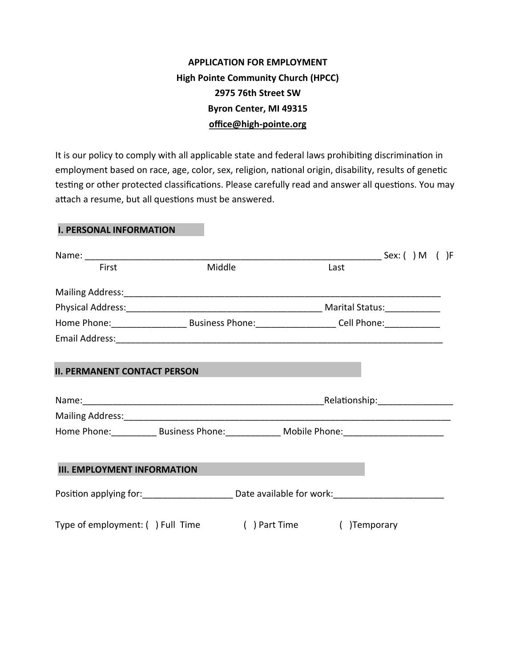## **APPLICATION FOR EMPLOYMENT High Pointe Community Church (HPCC) 2975 76th Street SW Byron Center, MI 49315 office@high-pointe.org**

It is our policy to comply with all applicable state and federal laws prohibiting discrimination in employment based on race, age, color, sex, religion, national origin, disability, results of genetic testing or other protected classifications. Please carefully read and answer all questions. You may attach a resume, but all questions must be answered.

## **I. PERSONAL INFORMATION**

| First                                                                                               | Middle |  | Last                            |  |  |
|-----------------------------------------------------------------------------------------------------|--------|--|---------------------------------|--|--|
|                                                                                                     |        |  |                                 |  |  |
|                                                                                                     |        |  |                                 |  |  |
|                                                                                                     |        |  |                                 |  |  |
|                                                                                                     |        |  |                                 |  |  |
| <b>II. PERMANENT CONTACT PERSON</b>                                                                 |        |  |                                 |  |  |
|                                                                                                     |        |  | _Relationship:_________________ |  |  |
|                                                                                                     |        |  |                                 |  |  |
| Home Phone: Business Phone: Mobile Phone: Mobile Phone:                                             |        |  |                                 |  |  |
| <b>III. EMPLOYMENT INFORMATION</b>                                                                  |        |  |                                 |  |  |
| Position applying for: ___________________________ Date available for work: _______________________ |        |  |                                 |  |  |
| Type of employment: () Full Time () Part Time                                                       |        |  | () Temporary                    |  |  |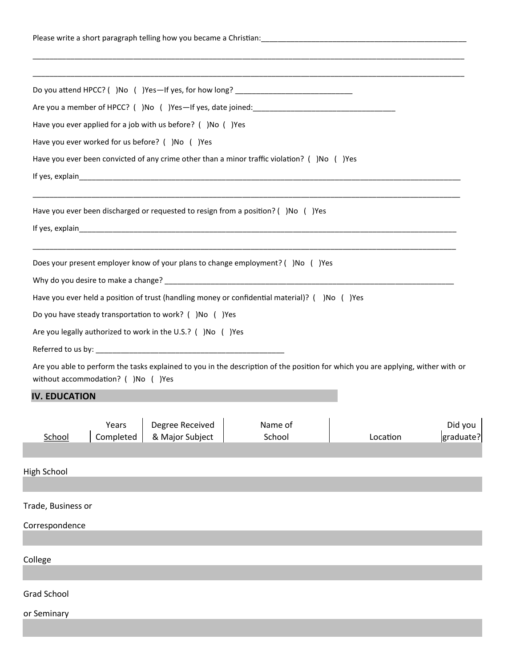|                      |                                     | Do you attend HPCC? ()No ()Yes-If yes, for how long? ___________________________                                                               |                   |  |          |                      |
|----------------------|-------------------------------------|------------------------------------------------------------------------------------------------------------------------------------------------|-------------------|--|----------|----------------------|
|                      |                                     |                                                                                                                                                |                   |  |          |                      |
|                      |                                     | Have you ever applied for a job with us before? ()No ()Yes                                                                                     |                   |  |          |                      |
|                      |                                     | Have you ever worked for us before? ()No ()Yes                                                                                                 |                   |  |          |                      |
|                      |                                     | Have you ever been convicted of any crime other than a minor traffic violation? ( )No ( )Yes                                                   |                   |  |          |                      |
|                      |                                     |                                                                                                                                                |                   |  |          |                      |
|                      |                                     | <u> 1980 - Jan James Barnett, fransk politik (f. 1980)</u><br>Have you ever been discharged or requested to resign from a position? ()No ()Yes |                   |  |          |                      |
|                      |                                     |                                                                                                                                                |                   |  |          |                      |
|                      |                                     | Does your present employer know of your plans to change employment? ( )No ( )Yes                                                               |                   |  |          |                      |
|                      |                                     |                                                                                                                                                |                   |  |          |                      |
|                      |                                     | Have you ever held a position of trust (handling money or confidential material)? ( )No ( )Yes                                                 |                   |  |          |                      |
|                      |                                     | Do you have steady transportation to work? ()No ()Yes                                                                                          |                   |  |          |                      |
|                      |                                     | Are you legally authorized to work in the U.S.? ( )No ( )Yes                                                                                   |                   |  |          |                      |
|                      |                                     |                                                                                                                                                |                   |  |          |                      |
|                      | without accommodation? ( )No ( )Yes | Are you able to perform the tasks explained to you in the description of the position for which you are applying, wither with or               |                   |  |          |                      |
| <b>IV. EDUCATION</b> |                                     |                                                                                                                                                |                   |  |          |                      |
| School               | Years<br>Completed                  | Degree Received<br>& Major Subject                                                                                                             | Name of<br>School |  | Location | Did you<br>graduate? |
| High School          |                                     |                                                                                                                                                |                   |  |          |                      |
| Trade, Business or   |                                     |                                                                                                                                                |                   |  |          |                      |
| Correspondence       |                                     |                                                                                                                                                |                   |  |          |                      |
|                      |                                     |                                                                                                                                                |                   |  |          |                      |
| College              |                                     |                                                                                                                                                |                   |  |          |                      |
| <b>Grad School</b>   |                                     |                                                                                                                                                |                   |  |          |                      |
| or Seminary          |                                     |                                                                                                                                                |                   |  |          |                      |
|                      |                                     |                                                                                                                                                |                   |  |          |                      |
|                      |                                     |                                                                                                                                                |                   |  |          |                      |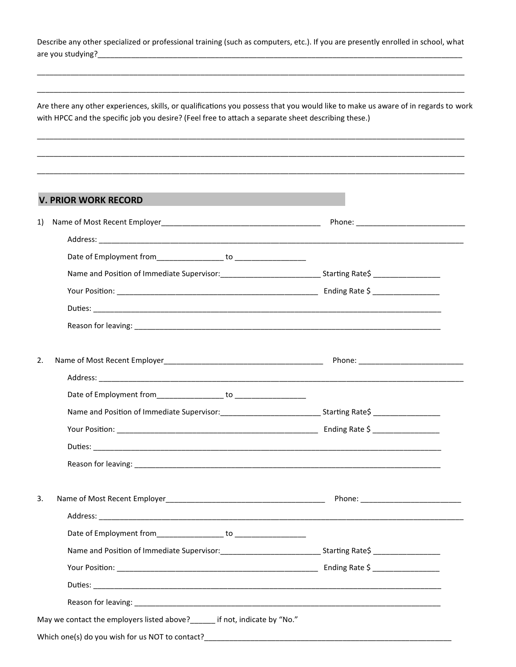Describe any other specialized or professional training (such as computers, etc.). If you are presently enrolled in school, what are you studying?\_

Are there any other experiences, skills, or qualifications you possess that you would like to make us aware of in regards to work with HPCC and the specific job you desire? (Feel free to attach a separate sheet describing these.)

## **V. PRIOR WORK RECORD**

| Name and Position of Immediate Supervisor: _________________________________Starting Rate\$ ___________________                                                                                                                |
|--------------------------------------------------------------------------------------------------------------------------------------------------------------------------------------------------------------------------------|
|                                                                                                                                                                                                                                |
|                                                                                                                                                                                                                                |
| Reason for leaving: 1999 and 2009 and 2009 and 2009 and 2009 and 2009 and 2009 and 2009 and 2009 and 2009 and 2009 and 2009 and 2009 and 2009 and 2009 and 2009 and 2009 and 2009 and 2009 and 2009 and 2009 and 2009 and 2009 |
|                                                                                                                                                                                                                                |
| Address: and the contract of the contract of the contract of the contract of the contract of the contract of the contract of the contract of the contract of the contract of the contract of the contract of the contract of t |
|                                                                                                                                                                                                                                |
|                                                                                                                                                                                                                                |
|                                                                                                                                                                                                                                |
|                                                                                                                                                                                                                                |
| Reason for leaving: the contract of the contract of the contract of the contract of the contract of the contract of the contract of the contract of the contract of the contract of the contract of the contract of the contra |
|                                                                                                                                                                                                                                |
|                                                                                                                                                                                                                                |
|                                                                                                                                                                                                                                |
|                                                                                                                                                                                                                                |
|                                                                                                                                                                                                                                |
|                                                                                                                                                                                                                                |
|                                                                                                                                                                                                                                |
| May we contact the employers listed above?______ if not, indicate by "No."                                                                                                                                                     |